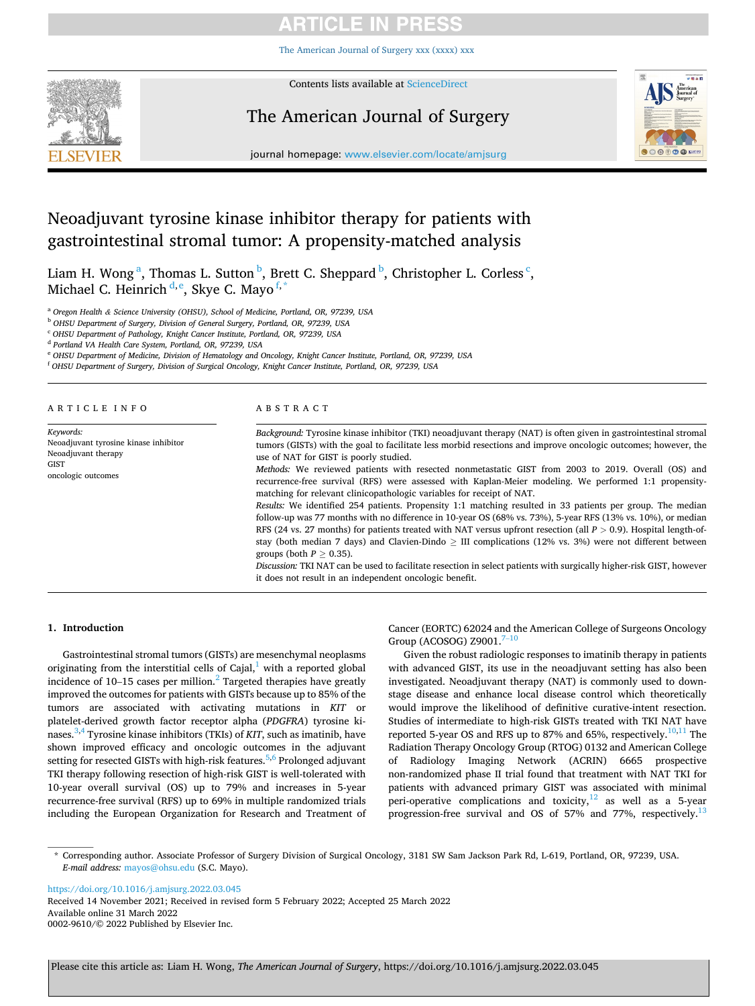# **ARTICLE IN PRE**

[The American Journal of Surgery xxx \(xxxx\) xxx](https://doi.org/10.1016/j.amjsurg.2022.03.045)



Contents lists available at [ScienceDirect](www.sciencedirect.com/science/journal/00029610)

# The American Journal of Surgery



journal homepage: [www.elsevier.com/locate/amjsurg](https://www.elsevier.com/locate/amjsurg) 

# Neoadjuvant tyrosine kinase inhibitor therapy for patients with gastrointestinal stromal tumor: A propensity-matched analysis

Liam H. Wong<sup>a</sup>, Thomas L. Sutton <sup>b</sup>, Brett C. Sheppard <sup>b</sup>, Christopher L. Corless <sup>c</sup>, Michael C. Heinrich <sup>d, e</sup>, Skye C. Mayo <sup>f, \*</sup>

<sup>a</sup> *Oregon Health & Science University (OHSU), School of Medicine, Portland, OR, 97239, USA* 

<sup>b</sup> *OHSU Department of Surgery, Division of General Surgery, Portland, OR, 97239, USA* 

<sup>c</sup> *OHSU Department of Pathology, Knight Cancer Institute, Portland, OR, 97239, USA* 

<sup>d</sup> *Portland VA Health Care System, Portland, OR, 97239, USA* 

<sup>e</sup> *OHSU Department of Medicine, Division of Hematology and Oncology, Knight Cancer Institute, Portland, OR, 97239, USA* 

<sup>f</sup> *OHSU Department of Surgery, Division of Surgical Oncology, Knight Cancer Institute, Portland, OR, 97239, USA* 

| ARTICLE INFO                                                                                            | ABSTRACT                                                                                                                                                                                                                                                                             |  |  |
|---------------------------------------------------------------------------------------------------------|--------------------------------------------------------------------------------------------------------------------------------------------------------------------------------------------------------------------------------------------------------------------------------------|--|--|
| Keywords:<br>Neoadjuvant tyrosine kinase inhibitor<br>Neoadjuvant therapy<br>GIST<br>oncologic outcomes | Background: Tyrosine kinase inhibitor (TKI) neoadjuvant therapy (NAT) is often given in gastrointestinal stromal<br>tumors (GISTs) with the goal to facilitate less morbid resections and improve oncologic outcomes; however, the<br>use of NAT for GIST is poorly studied.         |  |  |
|                                                                                                         | Methods: We reviewed patients with resected nonmetastatic GIST from 2003 to 2019. Overall (OS) and<br>recurrence-free survival (RFS) were assessed with Kaplan-Meier modeling. We performed 1:1 propensity-<br>matching for relevant clinicopathologic variables for receipt of NAT. |  |  |
|                                                                                                         | Results: We identified 254 patients. Propensity 1:1 matching resulted in 33 patients per group. The median<br>follow-up was 77 months with no difference in 10-year OS (68% vs. 73%), 5-year RFS (13% vs. 10%), or median                                                            |  |  |
|                                                                                                         | RFS (24 vs. 27 months) for patients treated with NAT versus upfront resection (all $P > 0.9$ ). Hospital length-of-<br>stay (both median 7 days) and Clavien-Dindo $>$ III complications (12% vs. 3%) were not different between<br>groups (both $P > 0.35$ ).                       |  |  |
|                                                                                                         | Discussion: TKI NAT can be used to facilitate resection in select patients with surgically higher-risk GIST, however<br>it does not result in an independent oncologic benefit.                                                                                                      |  |  |

# **1. Introduction**

Gastrointestinal stromal tumors (GISTs) are mesenchymal neoplasms originating from the interstitial cells of Cajal, $<sup>1</sup>$  with a reported global</sup> incidence of  $10-15$  cases per million.<sup>2</sup> Targeted therapies have greatly improved the outcomes for patients with GISTs because up to 85% of the tumors are associated with activating mutations in *KIT* or platelet-derived growth factor receptor alpha (*PDGFRA*) tyrosine kinases.[3,4 Tyrosine kinase inhibitors \(TKIs\) of](#page-4-0) *KIT*, such as imatinib, have shown improved efficacy and oncologic outcomes in the adjuvant setting for resected GISTs with high-risk features.<sup>5,6</sup> Prolonged adjuvant TKI therapy following resection of high-risk GIST is well-tolerated with 10-year overall survival (OS) up to 79% and increases in 5-year recurrence-free survival (RFS) up to 69% in multiple randomized trials including the European Organization for Research and Treatment of

Cancer (EORTC) 62024 and the American College of Surgeons Oncology Group (ACOSOG) Z9001. $7-10$ 

Given the robust radiologic responses to imatinib therapy in patients with advanced GIST, its use in the neoadjuvant setting has also been investigated. Neoadjuvant therapy (NAT) is commonly used to downstage disease and enhance local disease control which theoretically would improve the likelihood of definitive curative-intent resection. Studies of intermediate to high-risk GISTs treated with TKI NAT have reported 5-year OS and RFS up to 87% and 65%, respectively.  $10,11$  The Radiation Therapy Oncology Group (RTOG) 0132 and American College of Radiology Imaging Network (ACRIN) 6665 prospective non-randomized phase II trial found that treatment with NAT TKI for patients with advanced primary GIST was associated with minimal peri-operative complications and toxicity, $12$  as well as a 5-year progression-free survival and OS of 57% and 77%, respectively.<sup>13</sup>

<https://doi.org/10.1016/j.amjsurg.2022.03.045>

Available online 31 March 2022 0002-9610/© 2022 Published by Elsevier Inc. Received 14 November 2021; Received in revised form 5 February 2022; Accepted 25 March 2022

<sup>\*</sup> Corresponding author. Associate Professor of Surgery Division of Surgical Oncology, 3181 SW Sam Jackson Park Rd, L-619, Portland, OR, 97239, USA. *E-mail address:* [mayos@ohsu.edu](mailto:mayos@ohsu.edu) (S.C. Mayo).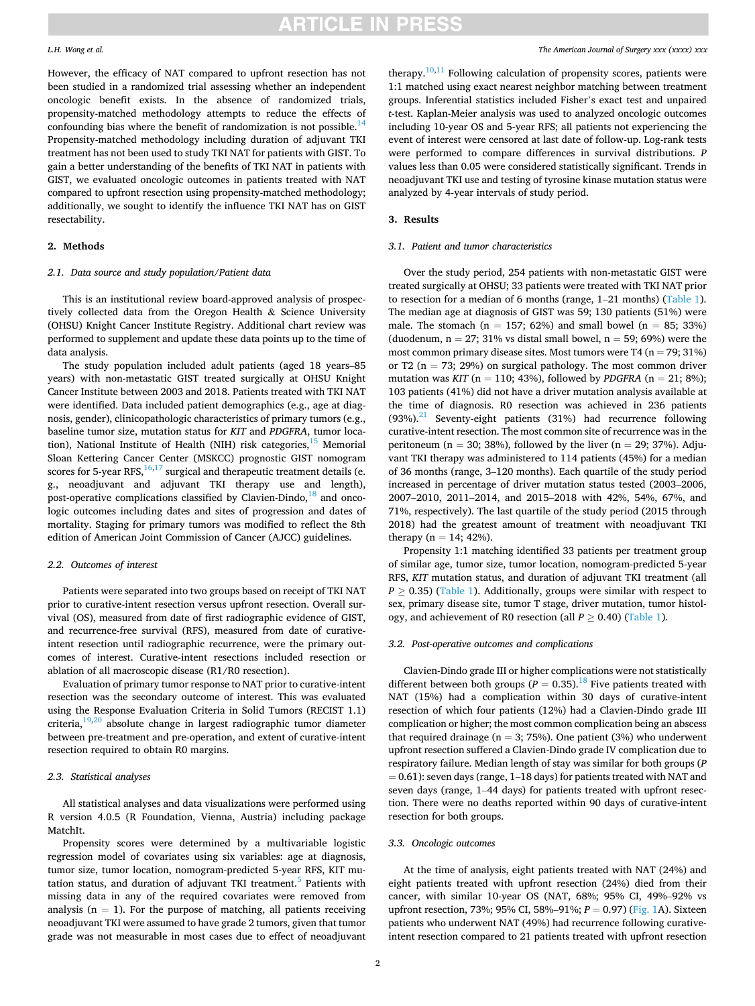However, the efficacy of NAT compared to upfront resection has not been studied in a randomized trial assessing whether an independent oncologic benefit exists. In the absence of randomized trials, propensity-matched methodology attempts to reduce the effects of confounding bias where the benefit of randomization is not possible.<sup>14</sup> Propensity-matched methodology including duration of adjuvant TKI treatment has not been used to study TKI NAT for patients with GIST. To gain a better understanding of the benefits of TKI NAT in patients with GIST, we evaluated oncologic outcomes in patients treated with NAT compared to upfront resection using propensity-matched methodology; additionally, we sought to identify the influence TKI NAT has on GIST resectability.

## **2. Methods**

#### *2.1. Data source and study population/Patient data*

This is an institutional review board-approved analysis of prospectively collected data from the Oregon Health & Science University (OHSU) Knight Cancer Institute Registry. Additional chart review was performed to supplement and update these data points up to the time of data analysis.

The study population included adult patients (aged 18 years–85 years) with non-metastatic GIST treated surgically at OHSU Knight Cancer Institute between 2003 and 2018. Patients treated with TKI NAT were identified. Data included patient demographics (e.g., age at diagnosis, gender), clinicopathologic characteristics of primary tumors (e.g., baseline tumor size, mutation status for *KIT* and *PDGFRA*, tumor location), National Institute of Health (NIH) risk categories,  $15$  Memorial Sloan Kettering Cancer Center (MSKCC) prognostic GIST nomogram scores for 5-year RFS,  $^{16,17}$  surgical and therapeutic treatment details (e. g., neoadjuvant and adjuvant TKI therapy use and length), post-operative complications classified by Clavien-Dindo, $^{18}$  and oncologic outcomes including dates and sites of progression and dates of mortality. Staging for primary tumors was modified to reflect the 8th edition of American Joint Commission of Cancer (AJCC) guidelines.

## *2.2. Outcomes of interest*

Patients were separated into two groups based on receipt of TKI NAT prior to curative-intent resection versus upfront resection. Overall survival (OS), measured from date of first radiographic evidence of GIST, and recurrence-free survival (RFS), measured from date of curativeintent resection until radiographic recurrence, were the primary outcomes of interest. Curative-intent resections included resection or ablation of all macroscopic disease (R1/R0 resection).

Evaluation of primary tumor response to NAT prior to curative-intent resection was the secondary outcome of interest. This was evaluated using the Response Evaluation Criteria in Solid Tumors (RECIST 1.1) criteria, $19,20$  absolute change in largest radiographic tumor diameter between pre-treatment and pre-operation, and extent of curative-intent resection required to obtain R0 margins.

# *2.3. Statistical analyses*

All statistical analyses and data visualizations were performed using R version 4.0.5 (R Foundation, Vienna, Austria) including package MatchIt.

Propensity scores were determined by a multivariable logistic regression model of covariates using six variables: age at diagnosis, tumor size, tumor location, nomogram-predicted 5-year RFS, KIT mutation status, and duration of adjuvant TKI treatment.<sup>5</sup> Patients with missing data in any of the required covariates were removed from analysis ( $n = 1$ ). For the purpose of matching, all patients receiving neoadjuvant TKI were assumed to have grade 2 tumors, given that tumor grade was not measurable in most cases due to effect of neoadjuvant

therapy. $10,11$  Following calculation of propensity scores, patients were 1:1 matched using exact nearest neighbor matching between treatment groups. Inferential statistics included Fisher's exact test and unpaired *t*-test. Kaplan-Meier analysis was used to analyzed oncologic outcomes including 10-year OS and 5-year RFS; all patients not experiencing the event of interest were censored at last date of follow-up. Log-rank tests were performed to compare differences in survival distributions. *P*  values less than 0.05 were considered statistically significant. Trends in neoadjuvant TKI use and testing of tyrosine kinase mutation status were analyzed by 4-year intervals of study period.

# **3. Results**

#### *3.1. Patient and tumor characteristics*

Over the study period, 254 patients with non-metastatic GIST were treated surgically at OHSU; 33 patients were treated with TKI NAT prior to resection for a median of 6 months (range, 1–21 months) ([Table 1](#page-2-0)). The median age at diagnosis of GIST was 59; 130 patients (51%) were male. The stomach ( $n = 157$ ; 62%) and small bowel ( $n = 85$ ; 33%) (duodenum,  $n = 27$ ; 31% vs distal small bowel,  $n = 59$ ; 69%) were the most common primary disease sites. Most tumors were T4 ( $n = 79$ ; 31%) or T2 ( $n = 73$ ; 29%) on surgical pathology. The most common driver mutation was *KIT* ( $n = 110$ ; 43%), followed by *PDGFRA* ( $n = 21$ ; 8%); 103 patients (41%) did not have a driver mutation analysis available at the time of diagnosis. R0 resection was achieved in 236 patients  $(93%)$ .<sup>21</sup> Seventy-eight patients (31%) had recurrence following curative-intent resection. The most common site of recurrence was in the peritoneum (n = 30; 38%), followed by the liver (n = 29; 37%). Adjuvant TKI therapy was administered to 114 patients (45%) for a median of 36 months (range, 3–120 months). Each quartile of the study period increased in percentage of driver mutation status tested (2003–2006, 2007–2010, 2011–2014, and 2015–2018 with 42%, 54%, 67%, and 71%, respectively). The last quartile of the study period (2015 through 2018) had the greatest amount of treatment with neoadjuvant TKI therapy ( $n = 14$ ; 42%).

Propensity 1:1 matching identified 33 patients per treatment group of similar age, tumor size, tumor location, nomogram-predicted 5-year RFS, *KIT* mutation status, and duration of adjuvant TKI treatment (all  $P \geq 0.35$ ) [\(Table 1\)](#page-2-0). Additionally, groups were similar with respect to sex, primary disease site, tumor T stage, driver mutation, tumor histology, and achievement of R0 resection (all *P* ≥ 0.40) ([Table 1](#page-2-0)).

#### *3.2. Post-operative outcomes and complications*

Clavien-Dindo grade III or higher complications were not statistically different between both groups ( $P = 0.35$ ).<sup>18</sup> Five patients treated with NAT (15%) had a complication within 30 days of curative-intent resection of which four patients (12%) had a Clavien-Dindo grade III complication or higher; the most common complication being an abscess that required drainage ( $n = 3$ ; 75%). One patient (3%) who underwent upfront resection suffered a Clavien-Dindo grade IV complication due to respiratory failure. Median length of stay was similar for both groups (*P*   $= 0.61$ ): seven days (range, 1–18 days) for patients treated with NAT and seven days (range, 1–44 days) for patients treated with upfront resection. There were no deaths reported within 90 days of curative-intent resection for both groups.

# *3.3. Oncologic outcomes*

At the time of analysis, eight patients treated with NAT (24%) and eight patients treated with upfront resection (24%) died from their cancer, with similar 10-year OS (NAT, 68%; 95% CI, 49%–92% vs upfront resection, 73%; 95% CI, 58%–91%; *P* = 0.97) ([Fig. 1](#page-3-0)A). Sixteen patients who underwent NAT (49%) had recurrence following curativeintent resection compared to 21 patients treated with upfront resection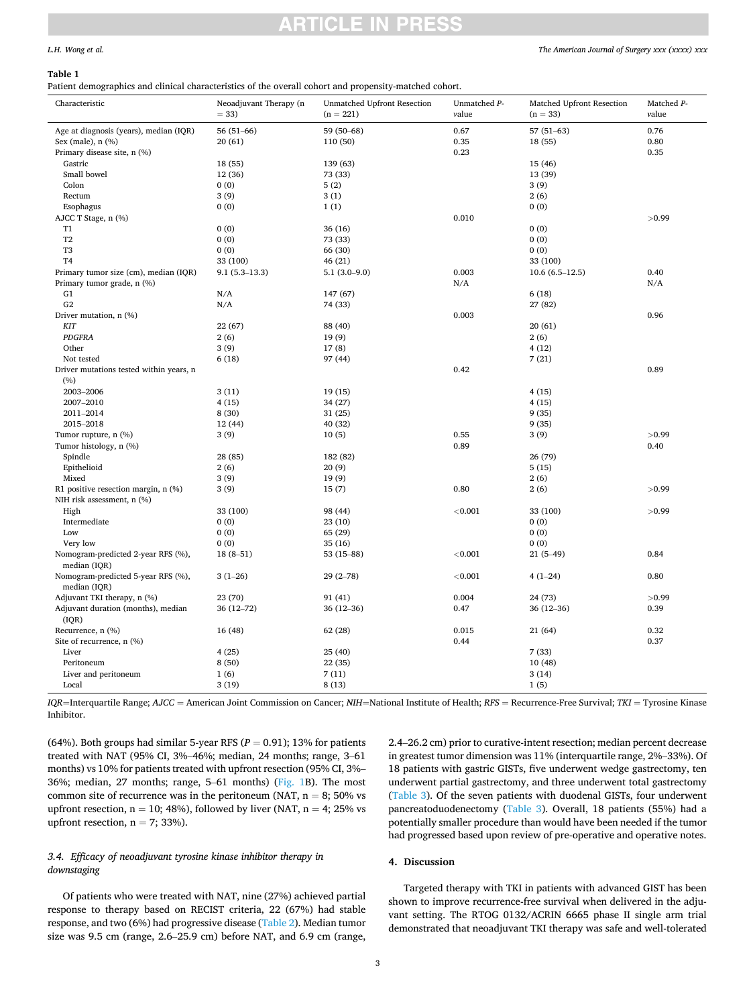# *The American Journal of Surgery xxx (xxxx) xxx*

# <span id="page-2-0"></span>*L.H. Wong et al.*

## **Table 1**

Patient demographics and clinical characteristics of the overall cohort and propensity-matched cohort.

| Characteristic                                     | Neoadjuvant Therapy (n<br>$= 33$ | Unmatched Upfront Resection<br>$(n = 221)$ | Unmatched P-<br>value | Matched Upfront Resection<br>$(n = 33)$ | Matched P-<br>value |
|----------------------------------------------------|----------------------------------|--------------------------------------------|-----------------------|-----------------------------------------|---------------------|
| Age at diagnosis (years), median (IQR)             | $56(51-66)$                      | 59 (50-68)                                 | 0.67                  | $57(51-63)$                             | 0.76                |
| Sex (male), n (%)                                  | 20(61)                           | 110 (50)                                   | 0.35                  | 18 (55)                                 | 0.80                |
| Primary disease site, n (%)                        |                                  |                                            | 0.23                  |                                         | 0.35                |
| Gastric                                            | 18(55)                           | 139 (63)                                   |                       | 15 (46)                                 |                     |
| Small bowel                                        | 12(36)                           | 73 (33)                                    |                       | 13 (39)                                 |                     |
| Colon                                              | 0(0)                             | 5(2)                                       |                       | 3(9)                                    |                     |
| Rectum                                             | 3(9)                             | 3(1)                                       |                       | 2(6)                                    |                     |
| Esophagus                                          | 0(0)                             | 1(1)                                       |                       | 0(0)                                    |                     |
| AJCC T Stage, n (%)                                |                                  |                                            | 0.010                 |                                         | >0.99               |
| T1                                                 | 0(0)                             | 36 (16)                                    |                       | 0(0)                                    |                     |
| T <sub>2</sub>                                     | 0(0)                             | 73 (33)                                    |                       | 0(0)                                    |                     |
| T <sub>3</sub>                                     | 0(0)                             | 66 (30)                                    |                       | 0(0)                                    |                     |
| T <sub>4</sub>                                     | 33 (100)                         | 46 (21)                                    |                       | 33 (100)                                |                     |
| Primary tumor size (cm), median (IQR)              | $9.1(5.3-13.3)$                  | $5.1(3.0-9.0)$                             | 0.003                 | $10.6(6.5-12.5)$                        | 0.40                |
| Primary tumor grade, n (%)                         |                                  |                                            | N/A                   |                                         | N/A                 |
| G1                                                 | N/A                              | 147 (67)                                   |                       | 6(18)                                   |                     |
| G2                                                 | N/A                              | 74 (33)                                    |                       | 27 (82)                                 |                     |
| Driver mutation, n (%)                             |                                  |                                            | 0.003                 |                                         | 0.96                |
| <b>KIT</b>                                         | 22(67)                           | 88 (40)                                    |                       | 20(61)                                  |                     |
| <b>PDGFRA</b>                                      | 2(6)                             | 19(9)                                      |                       | 2(6)                                    |                     |
| Other                                              | 3(9)                             | 17(8)                                      |                       | 4(12)                                   |                     |
| Not tested                                         | 6(18)                            | 97 (44)                                    |                       | 7(21)                                   |                     |
| Driver mutations tested within years, n            |                                  |                                            | 0.42                  |                                         | 0.89                |
| (%)                                                |                                  |                                            |                       |                                         |                     |
| 2003-2006                                          | 3(11)                            | 19(15)                                     |                       | 4(15)                                   |                     |
| 2007-2010                                          | 4(15)                            | 34 (27)                                    |                       | 4(15)                                   |                     |
|                                                    |                                  |                                            |                       |                                         |                     |
| 2011-2014                                          | 8 (30)                           | 31 (25)                                    |                       | 9(35)                                   |                     |
| 2015-2018                                          | 12 (44)                          | 40 (32)                                    |                       | 9(35)                                   |                     |
| Tumor rupture, n (%)                               | 3(9)                             | 10(5)                                      | 0.55                  | 3(9)                                    | >0.99               |
| Tumor histology, n (%)                             |                                  |                                            | 0.89                  |                                         | 0.40                |
| Spindle                                            | 28 (85)                          | 182 (82)                                   |                       | 26 (79)                                 |                     |
| Epithelioid                                        | 2(6)                             | 20(9)                                      |                       | 5(15)                                   |                     |
| Mixed                                              | 3(9)                             | 19(9)                                      |                       | 2(6)                                    |                     |
| R1 positive resection margin, n (%)                | 3(9)                             | 15(7)                                      | 0.80                  | 2(6)                                    | >0.99               |
| NIH risk assessment, n (%)                         |                                  |                                            |                       |                                         |                     |
| High                                               | 33 (100)                         | 98 (44)                                    | < 0.001               | 33 (100)                                | >0.99               |
| Intermediate                                       | 0(0)                             | 23 (10)                                    |                       | 0(0)                                    |                     |
| Low                                                | 0(0)                             | 65 (29)                                    |                       | 0(0)                                    |                     |
| Very low                                           | 0(0)                             | 35 (16)                                    |                       | 0(0)                                    |                     |
| Nomogram-predicted 2-year RFS (%),<br>median (IQR) | $18(8-51)$                       | 53 (15-88)                                 | < 0.001               | $21(5-49)$                              | 0.84                |
| Nomogram-predicted 5-year RFS (%),<br>median (IOR) | $3(1-26)$                        | $29(2 - 78)$                               | < 0.001               | $4(1-24)$                               | 0.80                |
| Adjuvant TKI therapy, n (%)                        | 23 (70)                          | 91 (41)                                    | 0.004                 | 24 (73)                                 | >0.99               |
| Adjuvant duration (months), median                 | $36(12 - 72)$                    | $36(12-36)$                                | 0.47                  | $36(12-36)$                             | 0.39                |
| (IQR)                                              |                                  |                                            |                       |                                         |                     |
| Recurrence, n (%)                                  | 16 (48)                          | 62 (28)                                    | 0.015                 | 21 (64)                                 | 0.32                |
| Site of recurrence, n (%)                          |                                  |                                            | 0.44                  |                                         | 0.37                |
| Liver                                              | 4(25)                            | 25 (40)                                    |                       | 7(33)                                   |                     |
| Peritoneum                                         | 8(50)                            | 22 (35)                                    |                       | 10(48)                                  |                     |
| Liver and peritoneum                               | 1(6)                             | 7(11)                                      |                       | 3(14)                                   |                     |
| Local                                              | 3(19)                            | 8(13)                                      |                       | 1(5)                                    |                     |
|                                                    |                                  |                                            |                       |                                         |                     |

*IQR*=Interquartile Range; *AJCC* = American Joint Commission on Cancer; *NIH*=National Institute of Health; *RFS* = Recurrence-Free Survival; *TKI* = Tyrosine Kinase Inhibitor.

(64%). Both groups had similar 5-year RFS ( $P = 0.91$ ); 13% for patients treated with NAT (95% CI, 3%–46%; median, 24 months; range, 3–61 months) vs 10% for patients treated with upfront resection (95% CI, 3%– 36%; median, 27 months; range, 5–61 months) [\(Fig. 1B](#page-3-0)). The most common site of recurrence was in the peritoneum (NAT,  $n = 8$ ; 50% vs upfront resection,  $n = 10$ ; 48%), followed by liver (NAT,  $n = 4$ ; 25% vs upfront resection,  $n = 7$ ; 33%).

# *3.4. Efficacy of neoadjuvant tyrosine kinase inhibitor therapy in downstaging*

Of patients who were treated with NAT, nine (27%) achieved partial response to therapy based on RECIST criteria, 22 (67%) had stable response, and two (6%) had progressive disease ([Table 2](#page-3-0)). Median tumor size was 9.5 cm (range, 2.6–25.9 cm) before NAT, and 6.9 cm (range,

2.4–26.2 cm) prior to curative-intent resection; median percent decrease in greatest tumor dimension was 11% (interquartile range, 2%–33%). Of 18 patients with gastric GISTs, five underwent wedge gastrectomy, ten underwent partial gastrectomy, and three underwent total gastrectomy ([Table 3](#page-3-0)). Of the seven patients with duodenal GISTs, four underwent pancreatoduodenectomy ([Table 3](#page-3-0)). Overall, 18 patients (55%) had a potentially smaller procedure than would have been needed if the tumor had progressed based upon review of pre-operative and operative notes.

# **4. Discussion**

Targeted therapy with TKI in patients with advanced GIST has been shown to improve recurrence-free survival when delivered in the adjuvant setting. The RTOG 0132/ACRIN 6665 phase II single arm trial demonstrated that neoadjuvant TKI therapy was safe and well-tolerated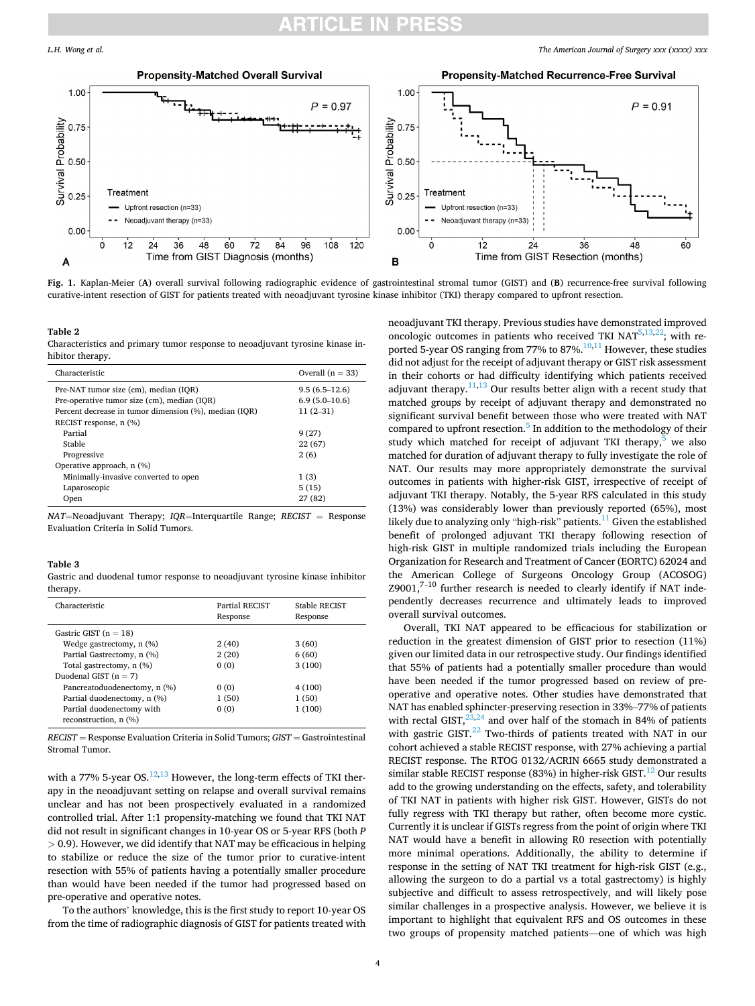#### *The American Journal of Surgery xxx (xxxx) xxx*

<span id="page-3-0"></span>

**Fig. 1.** Kaplan-Meier (**A**) overall survival following radiographic evidence of gastrointestinal stromal tumor (GIST) and (**B**) recurrence-free survival following curative-intent resection of GIST for patients treated with neoadjuvant tyrosine kinase inhibitor (TKI) therapy compared to upfront resection.

**Table 2** 

Characteristics and primary tumor response to neoadjuvant tyrosine kinase inhibitor therapy.

| Characteristic                                        | Overall $(n = 33)$ |
|-------------------------------------------------------|--------------------|
| Pre-NAT tumor size (cm), median (IQR)                 | $9.5(6.5-12.6)$    |
| Pre-operative tumor size (cm), median (IQR)           | $6.9(5.0-10.6)$    |
| Percent decrease in tumor dimension (%), median (IQR) | $11(2-31)$         |
| RECIST response, n (%)                                |                    |
| Partial                                               | 9(27)              |
| Stable                                                | 22 (67)            |
| Progressive                                           | 2(6)               |
| Operative approach, n (%)                             |                    |
| Minimally-invasive converted to open                  | 1(3)               |
| Laparoscopic                                          | 5(15)              |
| Open                                                  | 27 (82)            |

*NAT*=Neoadjuvant Therapy; *IQR*=Interquartile Range; *RECIST* = Response Evaluation Criteria in Solid Tumors.

# **Table 3**

Gastric and duodenal tumor response to neoadjuvant tyrosine kinase inhibitor therapy.

| Characteristic               | Partial RECIST<br>Response | Stable RECIST<br>Response |
|------------------------------|----------------------------|---------------------------|
| Gastric GIST $(n = 18)$      |                            |                           |
| Wedge gastrectomy, n (%)     | 2(40)                      | 3(60)                     |
| Partial Gastrectomy, n (%)   | 2(20)                      | 6(60)                     |
| Total gastrectomy, n (%)     | 0(0)                       | 3(100)                    |
| Duodenal GIST $(n = 7)$      |                            |                           |
| Pancreatoduodenectomy, n (%) | 0(0)                       | 4 (100)                   |
| Partial duodenectomy, n (%)  | 1(50)                      | 1(50)                     |
| Partial duodenectomy with    | 0(0)                       | 1(100)                    |
| reconstruction, n (%)        |                            |                           |

*RECIST* = Response Evaluation Criteria in Solid Tumors; *GIST* = Gastrointestinal Stromal Tumor.

with a 77% 5-year OS. $^{12,13}$  However, the long-term effects of TKI therapy in the neoadjuvant setting on relapse and overall survival remains unclear and has not been prospectively evaluated in a randomized controlled trial. After 1:1 propensity-matching we found that TKI NAT did not result in significant changes in 10-year OS or 5-year RFS (both *P >* 0.9). However, we did identify that NAT may be efficacious in helping to stabilize or reduce the size of the tumor prior to curative-intent resection with 55% of patients having a potentially smaller procedure than would have been needed if the tumor had progressed based on pre-operative and operative notes.

To the authors' knowledge, this is the first study to report 10-year OS from the time of radiographic diagnosis of GIST for patients treated with

neoadjuvant TKI therapy. Previous studies have demonstrated improved oncologic outcomes in patients who received TKI  $NAT^{5,13,22}$ ; with reported 5-year OS ranging from 77% to 87%. $10,11$  However, these studies did not adjust for the receipt of adjuvant therapy or GIST risk assessment in their cohorts or had difficulty identifying which patients received adjuvant therapy. $11,13$  Our results better align with a recent study that matched groups by receipt of adjuvant therapy and demonstrated no significant survival benefit between those who were treated with NAT compared to upfront resection. $5$  In addition to the methodology of their study which matched for receipt of adjuvant TKI therapy, $5$  we also matched for duration of adjuvant therapy to fully investigate the role of NAT. Our results may more appropriately demonstrate the survival outcomes in patients with higher-risk GIST, irrespective of receipt of adjuvant TKI therapy. Notably, the 5-year RFS calculated in this study (13%) was considerably lower than previously reported (65%), most likely due to analyzing only "high-risk" patients. $^{11}$  Given the established benefit of prolonged adjuvant TKI therapy following resection of high-risk GIST in multiple randomized trials including the European Organization for Research and Treatment of Cancer (EORTC) 62024 and the American College of Surgeons Oncology Group (ACOSOG)  $Z9001$ , $7-10$  further research is needed to clearly identify if NAT independently decreases recurrence and ultimately leads to improved overall survival outcomes.

Overall, TKI NAT appeared to be efficacious for stabilization or reduction in the greatest dimension of GIST prior to resection (11%) given our limited data in our retrospective study. Our findings identified that 55% of patients had a potentially smaller procedure than would have been needed if the tumor progressed based on review of preoperative and operative notes. Other studies have demonstrated that NAT has enabled sphincter-preserving resection in 33%–77% of patients with rectal GIST, $23,24$  and over half of the stomach in 84% of patients with gastric GIST. $^{22}$  Two-thirds of patients treated with NAT in our cohort achieved a stable RECIST response, with 27% achieving a partial RECIST response. The RTOG 0132/ACRIN 6665 study demonstrated a similar stable RECIST response (83%) in higher-risk GIST.<sup>12</sup> Our results add to the growing understanding on the effects, safety, and tolerability of TKI NAT in patients with higher risk GIST. However, GISTs do not fully regress with TKI therapy but rather, often become more cystic. Currently it is unclear if GISTs regress from the point of origin where TKI NAT would have a benefit in allowing R0 resection with potentially more minimal operations. Additionally, the ability to determine if response in the setting of NAT TKI treatment for high-risk GIST (e.g., allowing the surgeon to do a partial vs a total gastrectomy) is highly subjective and difficult to assess retrospectively, and will likely pose similar challenges in a prospective analysis. However, we believe it is important to highlight that equivalent RFS and OS outcomes in these two groups of propensity matched patients—one of which was high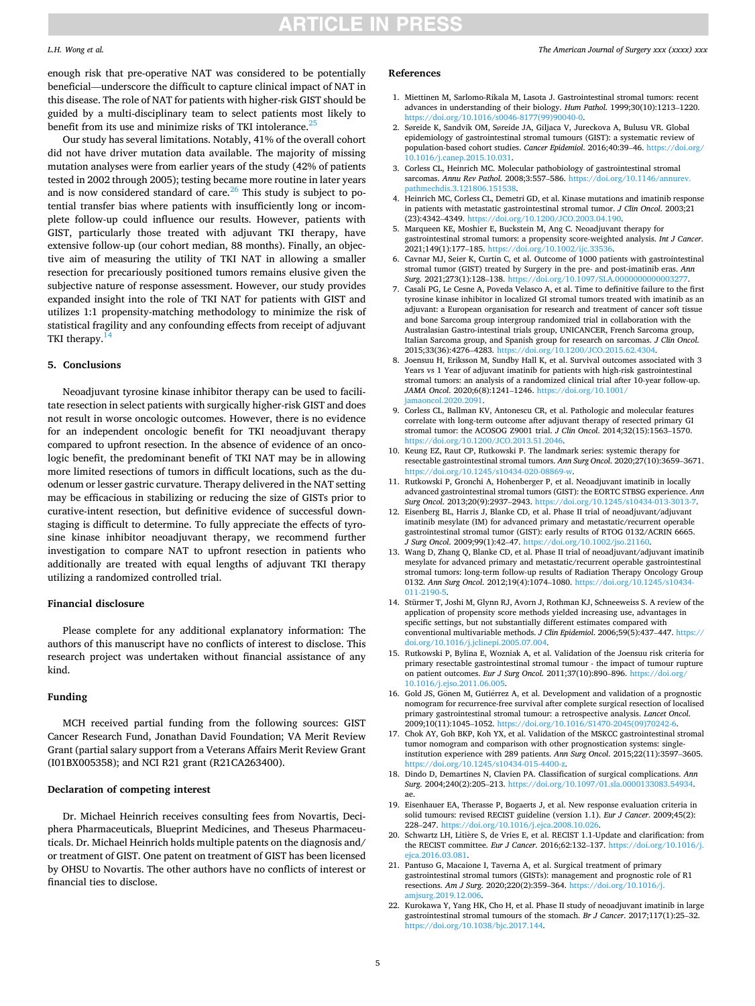# **ARTICLE IN PRESS**

# <span id="page-4-0"></span>*L.H. Wong et al.*

enough risk that pre-operative NAT was considered to be potentially beneficial—underscore the difficult to capture clinical impact of NAT in this disease. The role of NAT for patients with higher-risk GIST should be guided by a multi-disciplinary team to select patients most likely to benefit from its use and minimize risks of TKI intolerance.<sup>[25](#page-5-0)</sup>

Our study has several limitations. Notably, 41% of the overall cohort did not have driver mutation data available. The majority of missing mutation analyses were from earlier years of the study (42% of patients tested in 2002 through 2005); testing became more routine in later years and is now considered standard of care. $26$  This study is subject to potential transfer bias where patients with insufficiently long or incomplete follow-up could influence our results. However, patients with GIST, particularly those treated with adjuvant TKI therapy, have extensive follow-up (our cohort median, 88 months). Finally, an objective aim of measuring the utility of TKI NAT in allowing a smaller resection for precariously positioned tumors remains elusive given the subjective nature of response assessment. However, our study provides expanded insight into the role of TKI NAT for patients with GIST and utilizes 1:1 propensity-matching methodology to minimize the risk of statistical fragility and any confounding effects from receipt of adjuvant TKI therapy. $14$ 

# **5. Conclusions**

Neoadjuvant tyrosine kinase inhibitor therapy can be used to facilitate resection in select patients with surgically higher-risk GIST and does not result in worse oncologic outcomes. However, there is no evidence for an independent oncologic benefit for TKI neoadjuvant therapy compared to upfront resection. In the absence of evidence of an oncologic benefit, the predominant benefit of TKI NAT may be in allowing more limited resections of tumors in difficult locations, such as the duodenum or lesser gastric curvature. Therapy delivered in the NAT setting may be efficacious in stabilizing or reducing the size of GISTs prior to curative-intent resection, but definitive evidence of successful downstaging is difficult to determine. To fully appreciate the effects of tyrosine kinase inhibitor neoadjuvant therapy, we recommend further investigation to compare NAT to upfront resection in patients who additionally are treated with equal lengths of adjuvant TKI therapy utilizing a randomized controlled trial.

# **Financial disclosure**

Please complete for any additional explanatory information: The authors of this manuscript have no conflicts of interest to disclose. This research project was undertaken without financial assistance of any kind.

# **Funding**

MCH received partial funding from the following sources: GIST Cancer Research Fund, Jonathan David Foundation; VA Merit Review Grant (partial salary support from a Veterans Affairs Merit Review Grant (I01BX005358); and NCI R21 grant (R21CA263400).

# **Declaration of competing interest**

Dr. Michael Heinrich receives consulting fees from Novartis, Deciphera Pharmaceuticals, Blueprint Medicines, and Theseus Pharmaceuticals. Dr. Michael Heinrich holds multiple patents on the diagnosis and/ or treatment of GIST. One patent on treatment of GIST has been licensed by OHSU to Novartis. The other authors have no conflicts of interest or financial ties to disclose.

#### **References**

- 1. Miettinen M, Sarlomo-Rikala M, Lasota J. Gastrointestinal stromal tumors: recent advances in understanding of their biology. *Hum Pathol*. 1999;30(10):1213–1220. [https://doi.org/10.1016/s0046-8177\(99\)90040-0.](https://doi.org/10.1016/s0046-8177(99)90040-0)
- 2. Søreide K, Sandvik OM, Søreide JA, Giljaca V, Jureckova A, Bulusu VR. Global epidemiology of gastrointestinal stromal tumours (GIST): a systematic review of population-based cohort studies. *Cancer Epidemiol*. 2016;40:39–46. [https://doi.org/](https://doi.org/10.1016/j.canep.2015.10.031)  [10.1016/j.canep.2015.10.031.](https://doi.org/10.1016/j.canep.2015.10.031)
- 3. Corless CL, Heinrich MC. Molecular pathobiology of gastrointestinal stromal sarcomas. *Annu Rev Pathol*. 2008;3:557–586. [https://doi.org/10.1146/annurev.](https://doi.org/10.1146/annurev.pathmechdis.3.121806.151538) [pathmechdis.3.121806.151538](https://doi.org/10.1146/annurev.pathmechdis.3.121806.151538).
- 4. Heinrich MC, Corless CL, Demetri GD, et al. Kinase mutations and imatinib response in patients with metastatic gastrointestinal stromal tumor. *J Clin Oncol*. 2003;21 (23):4342–4349. <https://doi.org/10.1200/JCO.2003.04.190>.
- 5. Marqueen KE, Moshier E, Buckstein M, Ang C. Neoadjuvant therapy for gastrointestinal stromal tumors: a propensity score-weighted analysis. *Int J Cancer*. 2021;149(1):177–185. <https://doi.org/10.1002/ijc.33536>.
- 6. Cavnar MJ, Seier K, Curtin C, et al. Outcome of 1000 patients with gastrointestinal stromal tumor (GIST) treated by Surgery in the pre- and post-imatinib eras. *Ann Surg*. 2021;273(1):128–138. [https://doi.org/10.1097/SLA.0000000000003277.](https://doi.org/10.1097/SLA.0000000000003277)
- 7. Casali PG, Le Cesne A, Poveda Velasco A, et al. Time to definitive failure to the first tyrosine kinase inhibitor in localized GI stromal tumors treated with imatinib as an adjuvant: a European organisation for research and treatment of cancer soft tissue and bone Sarcoma group intergroup randomized trial in collaboration with the Australasian Gastro-intestinal trials group, UNICANCER, French Sarcoma group, Italian Sarcoma group, and Spanish group for research on sarcomas. *J Clin Oncol*. 2015;33(36):4276–4283. <https://doi.org/10.1200/JCO.2015.62.4304>.
- 8. Joensuu H, Eriksson M, Sundby Hall K, et al. Survival outcomes associated with 3 Years vs 1 Year of adjuvant imatinib for patients with high-risk gastrointestinal stromal tumors: an analysis of a randomized clinical trial after 10-year follow-up. *JAMA Oncol*. 2020;6(8):1241–1246. [https://doi.org/10.1001/](https://doi.org/10.1001/jamaoncol.2020.2091)  maoncol. 2020. 2091.
- 9. Corless CL, Ballman KV, Antonescu CR, et al. Pathologic and molecular features correlate with long-term outcome after adjuvant therapy of resected primary GI stromal tumor: the ACOSOG Z9001 trial. *J Clin Oncol*. 2014;32(15):1563–1570. <https://doi.org/10.1200/JCO.2013.51.2046>.
- 10. Keung EZ, Raut CP, Rutkowski P. The landmark series: systemic therapy for resectable gastrointestinal stromal tumors. *Ann Surg Oncol*. 2020;27(10):3659–3671. [https://doi.org/10.1245/s10434-020-08869-w.](https://doi.org/10.1245/s10434-020-08869-w)
- 11. Rutkowski P, Gronchi A, Hohenberger P, et al. Neoadjuvant imatinib in locally advanced gastrointestinal stromal tumors (GIST): the EORTC STBSG experience. *Ann Surg Oncol*. 2013;20(9):2937–2943.<https://doi.org/10.1245/s10434-013-3013-7>.
- 12. Eisenberg BL, Harris J, Blanke CD, et al. Phase II trial of neoadjuvant/adjuvant imatinib mesylate (IM) for advanced primary and metastatic/recurrent operable gastrointestinal stromal tumor (GIST): early results of RTOG 0132/ACRIN 6665. *J Surg Oncol*. 2009;99(1):42–47. [https://doi.org/10.1002/jso.21160.](https://doi.org/10.1002/jso.21160)
- 13. Wang D, Zhang Q, Blanke CD, et al. Phase II trial of neoadjuvant/adjuvant imatinib mesylate for advanced primary and metastatic/recurrent operable gastrointestinal stromal tumors: long-term follow-up results of Radiation Therapy Oncology Group 0132. *Ann Surg Oncol*. 2012;19(4):1074–1080. [https://doi.org/10.1245/s10434-](https://doi.org/10.1245/s10434-011-2190-5) [011-2190-5](https://doi.org/10.1245/s10434-011-2190-5).
- 14. Stürmer T, Joshi M, Glynn RJ, Avorn J, Rothman KJ, Schneeweiss S. A review of the application of propensity score methods yielded increasing use, advantages in specific settings, but not substantially different estimates compared with conventional multivariable methods. *J Clin Epidemiol*. 2006;59(5):437–447. [https://](https://doi.org/10.1016/j.jclinepi.2005.07.004)  [doi.org/10.1016/j.jclinepi.2005.07.004](https://doi.org/10.1016/j.jclinepi.2005.07.004).
- 15. Rutkowski P, Bylina E, Wozniak A, et al. Validation of the Joensuu risk criteria for primary resectable gastrointestinal stromal tumour - the impact of tumour rupture on patient outcomes. *Eur J Surg Oncol*. 2011;37(10):890–896. [https://doi.org/](https://doi.org/10.1016/j.ejso.2011.06.005) [10.1016/j.ejso.2011.06.005](https://doi.org/10.1016/j.ejso.2011.06.005).
- 16. Gold JS, Gönen M, Gutiérrez A, et al. Development and validation of a prognostic nomogram for recurrence-free survival after complete surgical resection of localised primary gastrointestinal stromal tumour: a retrospective analysis. *Lancet Oncol*. 2009;10(11):1045–1052. [https://doi.org/10.1016/S1470-2045\(09\)70242-6.](https://doi.org/10.1016/S1470-2045(09)70242-6)
- 17. Chok AY, Goh BKP, Koh YX, et al. Validation of the MSKCC gastrointestinal stromal tumor nomogram and comparison with other prognostication systems: singleinstitution experience with 289 patients. *Ann Surg Oncol*. 2015;22(11):3597–3605. <https://doi.org/10.1245/s10434-015-4400-z>.
- 18. Dindo D, Demartines N, Clavien PA. Classification of surgical complications. *Ann Surg*. 2004;240(2):205–213. [https://doi.org/10.1097/01.sla.0000133083.54934.](https://doi.org/10.1097/01.sla.0000133083.54934) ae.
- 19. Eisenhauer EA, Therasse P, Bogaerts J, et al. New response evaluation criteria in solid tumours: revised RECIST guideline (version 1.1). *Eur J Cancer*. 2009;45(2): 228–247. https://doi.org/10.1016/j.ejca.2008.10.02
- 20. Schwartz LH, Litière S, de Vries E, et al. RECIST 1.1-Update and clarification: from the RECIST committee. *Eur J Cancer*. 2016;62:132–137. [https://doi.org/10.1016/j.](https://doi.org/10.1016/j.ejca.2016.03.081)  [ejca.2016.03.081](https://doi.org/10.1016/j.ejca.2016.03.081).
- 21. Pantuso G, Macaione I, Taverna A, et al. Surgical treatment of primary gastrointestinal stromal tumors (GISTs): management and prognostic role of R1 resections. *Am J Surg*. 2020;220(2):359–364. [https://doi.org/10.1016/j.](https://doi.org/10.1016/j.amjsurg.2019.12.006)  [amjsurg.2019.12.006.](https://doi.org/10.1016/j.amjsurg.2019.12.006)
- 22. Kurokawa Y, Yang HK, Cho H, et al. Phase II study of neoadjuvant imatinib in large gastrointestinal stromal tumours of the stomach. *Br J Cancer*. 2017;117(1):25–32. <https://doi.org/10.1038/bjc.2017.144>.